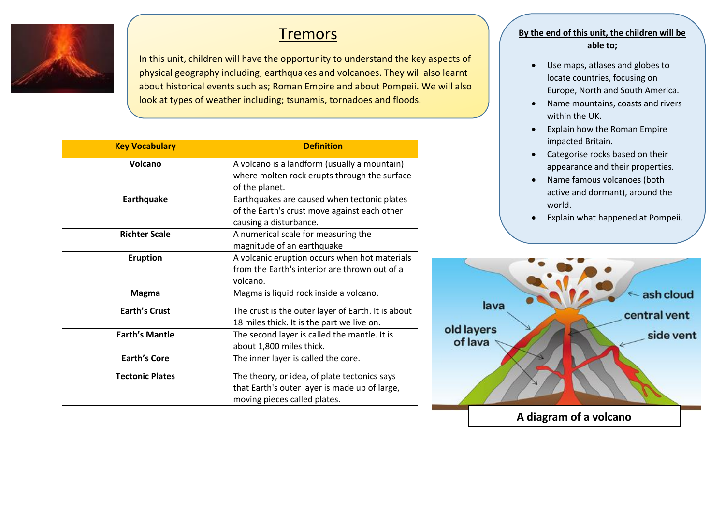

# **Tremors**

In this unit, children will have the opportunity to understand the key aspects of physical geography including, earthquakes and volcanoes. They will also learnt about historical events such as; Roman Empire and about Pompeii. We will also look at types of weather including; tsunamis, tornadoes and floods.

| <b>Key Vocabulary</b>  | <b>Definition</b>                                                                                                             |
|------------------------|-------------------------------------------------------------------------------------------------------------------------------|
| Volcano                | A volcano is a landform (usually a mountain)<br>where molten rock erupts through the surface                                  |
|                        | of the planet.                                                                                                                |
| Earthquake             | Earthquakes are caused when tectonic plates                                                                                   |
|                        | of the Earth's crust move against each other                                                                                  |
|                        | causing a disturbance.                                                                                                        |
| <b>Richter Scale</b>   | A numerical scale for measuring the                                                                                           |
|                        | magnitude of an earthquake                                                                                                    |
| <b>Eruption</b>        | A volcanic eruption occurs when hot materials                                                                                 |
|                        | from the Earth's interior are thrown out of a                                                                                 |
|                        | volcano.                                                                                                                      |
| <b>Magma</b>           | Magma is liquid rock inside a volcano.                                                                                        |
| <b>Earth's Crust</b>   | The crust is the outer layer of Earth. It is about                                                                            |
|                        | 18 miles thick. It is the part we live on.                                                                                    |
| <b>Earth's Mantle</b>  | The second layer is called the mantle. It is                                                                                  |
|                        | about 1,800 miles thick.                                                                                                      |
| <b>Earth's Core</b>    | The inner layer is called the core.                                                                                           |
| <b>Tectonic Plates</b> | The theory, or idea, of plate tectonics says<br>that Earth's outer layer is made up of large,<br>moving pieces called plates. |

### **By the end of this unit, the children will be able to;**

- Use maps, atlases and globes to locate countries, focusing on Europe, North and South America.
- Name mountains, coasts and rivers within the UK.
- Explain how the Roman Empire impacted Britain.
- Categorise rocks based on their appearance and their properties.
- Name famous volcanoes (both active and dormant), around the world.
- Explain what happened at Pompeii.

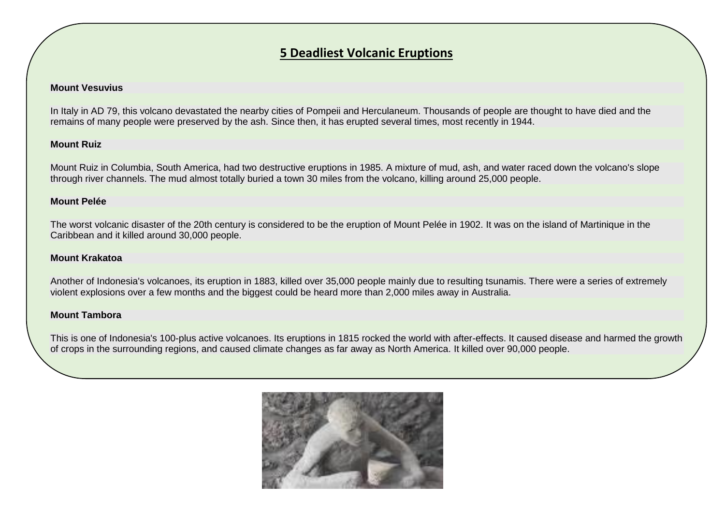## **5 Deadliest Volcanic Eruptions**

#### **Mount Vesuvius**

In Italy in AD 79, this volcano devastated the nearby cities of Pompeii and Herculaneum. Thousands of people are thought to have died and the remains of many people were preserved by the ash. Since then, it has erupted several times, most recently in 1944.

#### **Mount Ruiz**

Mount Ruiz in Columbia, South America, had two destructive eruptions in 1985. A mixture of mud, ash, and water raced down the volcano's slope through river channels. The mud almost totally buried a town 30 miles from the volcano, killing around 25,000 people.

#### **Mount Pelée**

The worst volcanic disaster of the 20th century is considered to be the eruption of Mount Pelée in 1902. It was on the island of Martinique in the Caribbean and it killed around 30,000 people.

#### **Mount Krakatoa**

Another of Indonesia's volcanoes, its eruption in 1883, killed over 35,000 people mainly due to resulting tsunamis. There were a series of extremely violent explosions over a few months and the biggest could be heard more than 2,000 miles away in Australia.

#### **Mount Tambora**

This is one of Indonesia's 100-plus active volcanoes. Its eruptions in 1815 rocked the world with after-effects. It caused disease and harmed the growth of crops in the surrounding regions, and caused climate changes as far away as North America. It killed over 90,000 people.